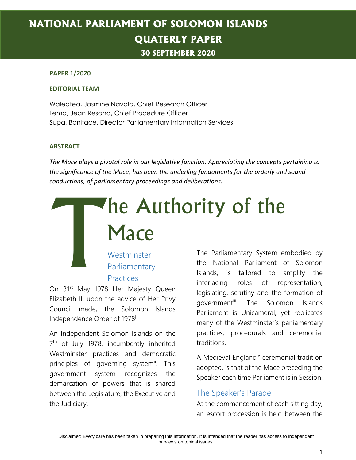# **NATIONAL PARLIAMENT OF SOLOMON ISLANDS QUATERLY PAPER 30 SEPTEMBER 2020**

#### **PAPER 1/2020**

#### **EDITORIAL TEAM**

Waleafea, Jasmine Navala, Chief Research Officer Tema, Jean Resana, Chief Procedure Officer Supa, Boniface, Director Parliamentary Information Services

#### **ABSTRACT**

*The Mace plays a pivotal role in our legislative function. Appreciating the concepts pertaining to the significance of the Mace; has been the underling fundaments for the orderly and sound conductions, of parliamentary proceedings and deliberations.*

# he Authority of the **Mace** T

# **Westminster** Parliamentary Practices

On 31<sup>st</sup> May 1978 Her Majesty Queen Elizabeth II, upon the advice of Her Privy Council made, the Solomon Islands Independence Order of 1978<sup>i</sup>.

An Independent Solomon Islands on the 7<sup>th</sup> of July 1978, incumbently inherited Westminster practices and democratic principles of governing system<sup>i</sup>. This government system recognizes the demarcation of powers that is shared between the Legislature, the Executive and the Judiciary.

The Parliamentary System embodied by the National Parliament of Solomon Islands, is tailored to amplify the interlacing roles of representation, legislating, scrutiny and the formation of government<sup>iii</sup>. The Solomon Islands Parliament is Unicameral, yet replicates many of the Westminster's parliamentary practices, procedurals and ceremonial traditions.

A Medieval England<sup>iv</sup> ceremonial tradition adopted, is that of the Mace preceding the Speaker each time Parliament is in Session.

### The Speaker's Parade

At the commencement of each sitting day, an escort procession is held between the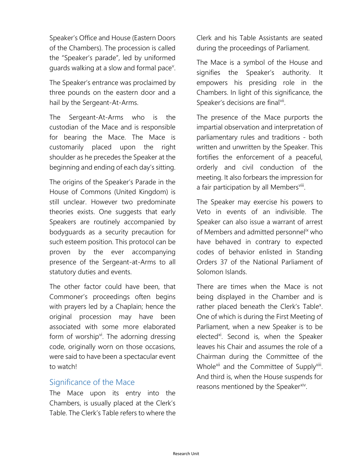Speaker's Office and House (Eastern Doors of the Chambers). The procession is called the "Speaker's parade", led by uniformed guards walking at a slow and formal pace<sup>v</sup>.

The Speaker's entrance was proclaimed by three pounds on the eastern door and a hail by the Sergeant-At-Arms.

The Sergeant-At-Arms who is the custodian of the Mace and is responsible for bearing the Mace. The Mace is customarily placed upon the right shoulder as he precedes the Speaker at the beginning and ending of each day's sitting.

The origins of the Speaker's Parade in the House of Commons (United Kingdom) is still unclear. However two predominate theories exists. One suggests that early Speakers are routinely accompanied by bodyguards as a security precaution for such esteem position. This protocol can be proven by the ever accompanying presence of the Sergeant-at-Arms to all statutory duties and events.

The other factor could have been, that Commoner's proceedings often begins with prayers led by a Chaplain; hence the original procession may have been associated with some more elaborated form of worship<sup>vi</sup>. The adorning dressing code, originally worn on those occasions, were said to have been a spectacular event to watch!

### Significance of the Mace

The Mace upon its entry into the Chambers, is usually placed at the Clerk's Table. The Clerk's Table refers to where the Clerk and his Table Assistants are seated during the proceedings of Parliament.

The Mace is a symbol of the House and signifies the Speaker's authority. It empowers his presiding role in the Chambers. In light of this significance, the Speaker's decisions are finalvii.

The presence of the Mace purports the impartial observation and interpretation of parliamentary rules and traditions - both written and unwritten by the Speaker. This fortifies the enforcement of a peaceful, orderly and civil conduction of the meeting. It also forbears the impression for a fair participation by all Membersviii.

The Speaker may exercise his powers to Veto in events of an indivisible. The Speaker can also issue a warrant of arrest of Members and admitted personnelix who have behaved in contrary to expected codes of behavior enlisted in Standing Orders 37 of the National Parliament of Solomon Islands.

There are times when the Mace is not being displayed in the Chamber and is rather placed beneath the Clerk's Table<sup>x</sup>. One of which is during the First Meeting of Parliament, when a new Speaker is to be elected<sup>xi</sup>. Second is, when the Speaker leaves his Chair and assumes the role of a Chairman during the Committee of the Whole<sup>xii</sup> and the Committee of Supply<sup>xiii</sup>. And third is, when the House suspends for reasons mentioned by the Speaker<sup>xiv</sup>.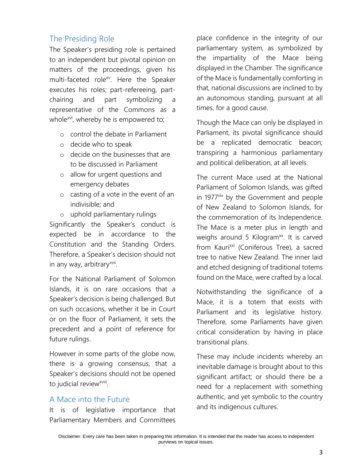# The Presiding Role

The Speaker's presiding role is pertained to an independent but pivotal opinion on matters of the proceedings, given his multi-faceted role<sup>xv</sup>. Here the Speaker executes his roles; part-refereeing, partchairing and part symbolizing a representative of the Commons as a whole $^{xvi}$ , whereby he is empowered to;

- o control the debate in Parliament
- o decide who to speak
- o decide on the businesses that are to be discussed in Parliament
- o allow for urgent questions and emergency debates
- o casting of a vote in the event of an indivisible; and
- o uphold parliamentary rulings

Significantly the Speaker's conduct is expected be in accordance to the Constitution and the Standing Orders. Therefore, a Speaker's decision should not in any way, arbitrary<sup>xvii</sup>.

For the National Parliament of Solomon Islands, it is on rare occasions that a Speaker's decision is being challenged. But on such occasions, whether it be in Court or on the floor of Parliament, it sets the precedent and a point of reference for future rulings.

However in some parts of the globe now, there is a growing consensus, that a Speaker's decisions should not be opened to judicial review<sup>xviii</sup>.

## A Mace into the Future

It is of legislative importance that Parliamentary Members and Committees

place confidence in the integrity of our parliamentary system, as symbolized by the impartiality of the Mace being displayed in the Chamber. The significance of the Mace is fundamentally comforting in that, national discussions are inclined to by an autonomous standing, pursuant at all times, for a good cause.

Though the Mace can only be displayed in Parliament, its pivotal significance should be a replicated democratic beacon; transpiring a harmonious parliamentary and political deliberation, at all levels.

The current Mace used at the National Parliament of Solomon Islands, was gifted in 1977<sup>xix</sup> by the Government and people of New Zealand to Solomon Islands, for the commemoration of its Independence. The Mace is a meter plus in length and weighs around 5 Kilogram<sup>xx</sup>. It is carved from Kauri<sup>xxi</sup> (Coniferous Tree), a sacred tree to native New Zealand. The inner laid and etched designing of traditional totems found on the Mace, were crafted by a local.

Notwithstanding the significance of a Mace, it is a totem that exists with Parliament and its legislative history. Therefore, some Parliaments have given critical consideration by having in place transitional plans.

These may include incidents whereby an inevitable damage is brought about to this significant artifact; or should there be a need for a replacement with something authentic, and yet symbolic to the country and its indigenous cultures.

Disclaimer: Every care has been taken in preparing this information. It is intended that the reader has access to independent purviews on topical issues.